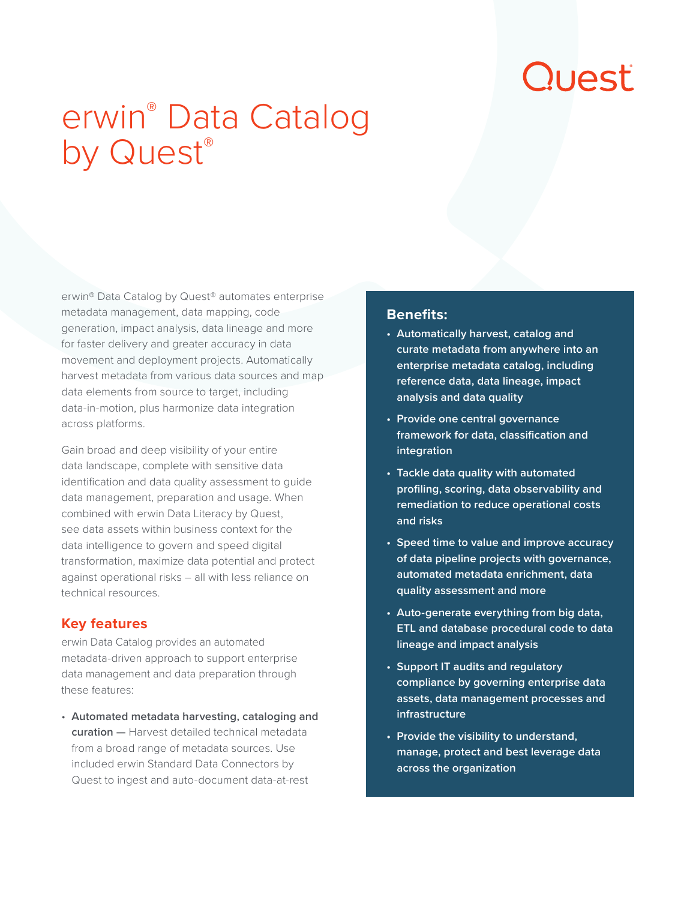# Quest

# erwin® Data Catalog by Quest®

erwin® Data Catalog by Quest® automates enterprise metadata management, data mapping, code generation, impact analysis, data lineage and more for faster delivery and greater accuracy in data movement and deployment projects. Automatically harvest metadata from various data sources and map data elements from source to target, including data-in-motion, plus harmonize data integration across platforms.

Gain broad and deep visibility of your entire data landscape, complete with sensitive data identification and data quality assessment to guide data management, preparation and usage. When combined with erwin Data Literacy by Quest, see data assets within business context for the data intelligence to govern and speed digital transformation, maximize data potential and protect against operational risks – all with less reliance on technical resources.

## **Key features**

erwin Data Catalog provides an automated metadata-driven approach to support enterprise data management and data preparation through these features:

• **Automated metadata harvesting, cataloging and curation —** Harvest detailed technical metadata from a broad range of metadata sources. Use included erwin Standard Data Connectors by Quest to ingest and auto-document data-at-rest

### **Benefits:**

- **• Automatically harvest, catalog and curate metadata from anywhere into an enterprise metadata catalog, including reference data, data lineage, impact analysis and data quality**
- **• Provide one central governance framework for data, classification and integration**
- **• Tackle data quality with automated profiling, scoring, data observability and remediation to reduce operational costs and risks**
- **• Speed time to value and improve accuracy of data pipeline projects with governance, automated metadata enrichment, data quality assessment and more**
- **• Auto-generate everything from big data, ETL and database procedural code to data lineage and impact analysis**
- **• Support IT audits and regulatory compliance by governing enterprise data assets, data management processes and infrastructure**
- **• Provide the visibility to understand, manage, protect and best leverage data across the organization**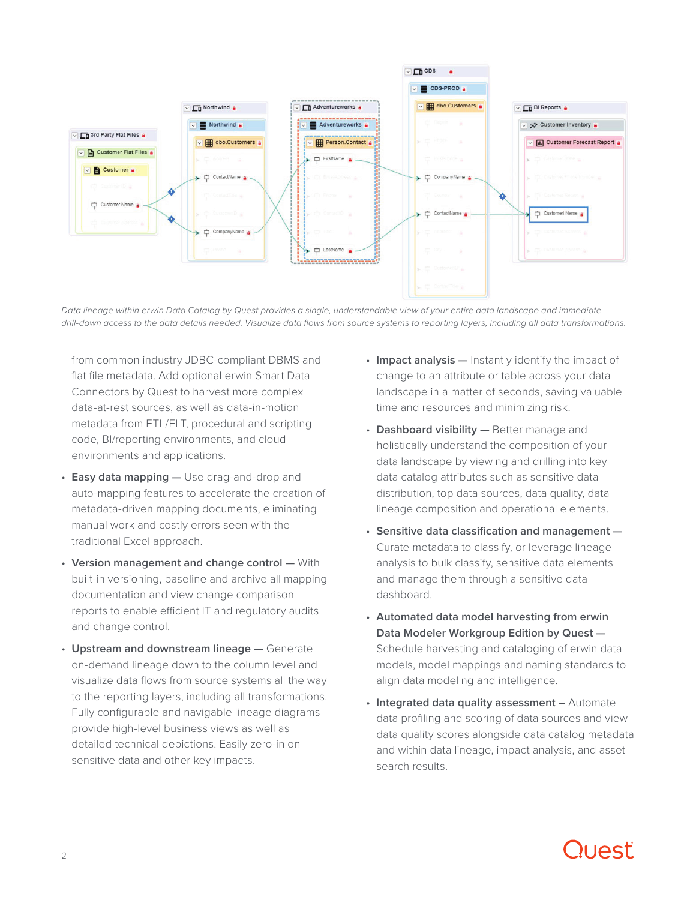

*Data lineage within erwin Data Catalog by Quest provides a single, understandable view of your entire data landscape and immediate drill-down access to the data details needed. Visualize data flows from source systems to reporting layers, including all data transformations.*

from common industry JDBC-compliant DBMS and flat file metadata. Add optional erwin Smart Data Connectors by Quest to harvest more complex data-at-rest sources, as well as data-in-motion metadata from ETL/ELT, procedural and scripting code, BI/reporting environments, and cloud environments and applications.

- **Easy data mapping —** Use drag-and-drop and auto-mapping features to accelerate the creation of metadata-driven mapping documents, eliminating manual work and costly errors seen with the traditional Excel approach.
- **Version management and change control —** With built-in versioning, baseline and archive all mapping documentation and view change comparison reports to enable efficient IT and regulatory audits and change control.
- **Upstream and downstream lineage —** Generate on-demand lineage down to the column level and visualize data flows from source systems all the way to the reporting layers, including all transformations. Fully configurable and navigable lineage diagrams provide high-level business views as well as detailed technical depictions. Easily zero-in on sensitive data and other key impacts.
- **Impact analysis —** Instantly identify the impact of change to an attribute or table across your data landscape in a matter of seconds, saving valuable time and resources and minimizing risk.
- **Dashboard visibility —** Better manage and holistically understand the composition of your data landscape by viewing and drilling into key data catalog attributes such as sensitive data distribution, top data sources, data quality, data lineage composition and operational elements.
- **Sensitive data classification and management —** Curate metadata to classify, or leverage lineage analysis to bulk classify, sensitive data elements and manage them through a sensitive data dashboard.
- **Automated data model harvesting from erwin Data Modeler Workgroup Edition by Quest —** Schedule harvesting and cataloging of erwin data models, model mappings and naming standards to align data modeling and intelligence.
- **• Integrated data quality assessment –** Automate data profiling and scoring of data sources and view data quality scores alongside data catalog metadata and within data lineage, impact analysis, and asset search results.